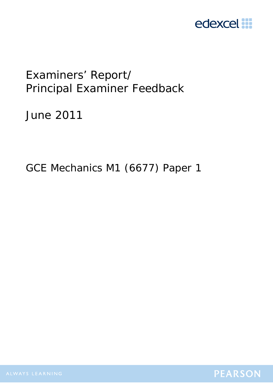

# Examiners' Report/ Principal Examiner Feedback

June 2011

GCE Mechanics M1 (6677) Paper 1

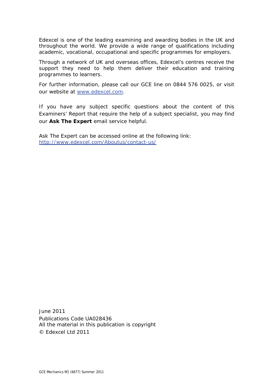Edexcel is one of the leading examining and awarding bodies in the UK and throughout the world. We provide a wide range of qualifications including academic, vocational, occupational and specific programmes for employers.

Through a network of UK and overseas offices, Edexcel's centres receive the support they need to help them deliver their education and training programmes to learners.

For further information, please call our GCE line on 0844 576 0025, or visit our website at www.edexcel.com.

If you have any subject specific questions about the content of this Examiners' Report that require the help of a subject specialist, you may find our **Ask The Expert** email service helpful.

Ask The Expert can be accessed online at the following link: http://www.edexcel.com/Aboutus/contact-us/

June 2011 Publications Code UA028436 All the material in this publication is copyright © Edexcel Ltd 2011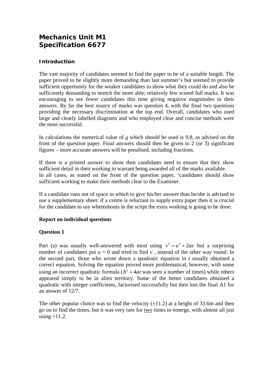# **Mechanics Unit M1 Specification 6677**

# **Introduction**

The vast majority of candidates seemed to find the paper to be of a suitable length. The paper proved to be slightly more demanding than last summer's but seemed to provide sufficient opportunity for the weaker candidates to show what they could do and also be sufficiently demanding to stretch the more able; relatively few scored full marks. It was encouraging to see fewer candidates this time giving negative magnitudes in their answers. By far the best source of marks was question 4, with the final two questions providing the necessary discrimination at the top end. Overall, candidates who used large and clearly labelled diagrams and who employed clear and concise methods were the most successful.

In calculations the numerical value of *g* which should be used is 9.8, as advised on the front of the question paper. Final answers should then be given to 2 (or 3) significant figures – more accurate answers will be penalised, including fractions.

If there is a printed answer to show then candidates need to ensure that they show sufficient detail in their working to warrant being awarded all of the marks available. In all cases, as stated on the front of the question paper, 'candidates should show sufficient working to make their methods clear to the Examiner.

If a candidate runs out of space in which to give his/her answer than he/she is advised to use a supplementary sheet: if a centre is reluctant to supply extra paper then it is crucial for the candidate to say whereabouts in the script the extra working is going to be done.

#### **Report on individual questions**

#### **Question 1**

Part (a) was usually well-answered with most using  $v^2 = u^2 + 2as$  but a surprising number of candidates put  $u = 0$  and tried to find  $v$ , instead of the other way round. In the second part, those who wrote down a quadratic equation in *t* usually obtained a correct equation. Solving the equation proved more problematical, however, with some using an incorrect quadratic formula ( $b^2 + 4ac$  was seen a number of times) while others appeared simply to be in alien territory. Some of the better candidates obtained a quadratic with integer coefficients, factorised successfully but then lost the final A1 for an answer of 12/7.

The other popular choice was to find the velocity  $(\pm 11.2)$  at a height of 33.6m and then go on to find the times, but it was very rare for two times to emerge, with almost all just using  $+11.2$ .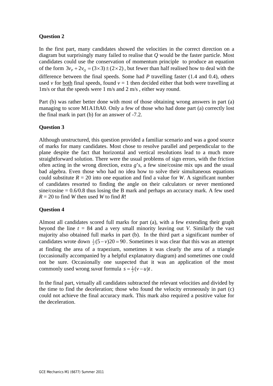## **Question 2**

In the first part, many candidates showed the velocities in the correct direction on a diagram but surprisingly many failed to realise that *Q* would be the faster particle. Most candidates could use the conservation of momentum principle to produce an equation of the form  $3v_p + 2v_q = (3 \times 3) \pm (2 \times 2)$ , but fewer than half realised how to deal with the difference between the final speeds. Some had *P* travelling faster (1.4 and 0.4), others used *v* for both final speeds, found  $v = 1$  then decided either that both were travelling at 1m/s or that the speeds were 1 m/s and 2 m/s , either way round.

Part (b) was rather better done with most of those obtaining wrong answers in part (a) managing to score M1A1ftA0. Only a few of those who had done part (a) correctly lost the final mark in part (b) for an answer of -7.2.

#### **Question 3**

Although unstructured, this question provided a familiar scenario and was a good source of marks for many candidates. Most chose to resolve parallel and perpendicular to the plane despite the fact that horizontal and vertical resolutions lead to a much more straightforward solution. There were the usual problems of sign errors, with the friction often acting in the wrong direction, extra *g*'s, a few sine/cosine mix ups and the usual bad algebra. Even those who had no idea how to solve their simultaneous equations could substitute  $R = 20$  into one equation and find a value for *W*. A significant number of candidates resorted to finding the angle on their calculators or never mentioned  $\sin\epsilon/\cos\theta$  = 0.6/0.8 thus losing the B mark and perhaps an accuracy mark. A few used  $R = 20$  to find *W* then used *W* to find *R*!

#### **Question 4**

Almost all candidates scored full marks for part (a), with a few extending their graph beyond the line  $t = 84$  and a very small minority leaving out *V*. Similarly the vast majority also obtained full marks in part (b). In the third part a significant number of candidates wrote down  $\frac{1}{2}(5 - v)20 = 90$ . Sometimes it was clear that this was an attempt at finding the area of a trapezium, sometimes it was clearly the area of a triangle (occasionally accompanied by a helpful explanatory diagram) and sometimes one could not be sure. Occasionally one suspected that it was an application of the most commonly used wrong *suvat* formula  $s = \frac{1}{2}(v - u)t$ .

In the final part, virtually all candidates subtracted the relevant velocities and divided by the time to find the deceleration; those who found the velocity erroneously in part (c) could not achieve the final accuracy mark. This mark also required a positive value for the deceleration.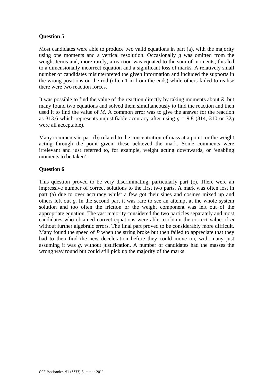## **Question 5**

Most candidates were able to produce two valid equations in part (a), with the majority using one moments and a vertical resolution. Occasionally *g* was omitted from the weight terms and, more rarely, a reaction was equated to the sum of moments; this led to a dimensionally incorrect equation and a significant loss of marks. A relatively small number of candidates misinterpreted the given information and included the supports in the wrong positions on the rod (often 1 m from the ends) while others failed to realise there were two reaction forces.

It was possible to find the value of the reaction directly by taking moments about *R*, but many found two equations and solved them simultaneously to find the reaction and then used it to find the value of *M*. A common error was to give the answer for the reaction as 313.6 which represents unjustifiable accuracy after using  $g = 9.8$  (314, 310 or 32*g*) were all acceptable).

Many comments in part (b) related to the concentration of mass at a point, or the weight acting through the point given; these achieved the mark. Some comments were irrelevant and just referred to, for example, weight acting downwards, or 'enabling moments to be taken'.

#### **Question 6**

This question proved to be very discriminating, particularly part (c). There were an impressive number of correct solutions to the first two parts. A mark was often lost in part (a) due to over accuracy whilst a few got their sines and cosines mixed up and others left out *g*. In the second part it was rare to see an attempt at the whole system solution and too often the friction or the weight component was left out of the appropriate equation. The vast majority considered the two particles separately and most candidates who obtained correct equations were able to obtain the correct value of *m* without further algebraic errors. The final part proved to be considerably more difficult. Many found the speed of *P* when the string broke but then failed to appreciate that they had to then find the new deceleration before they could move on, with many just assuming it was *g*, without justification. A number of candidates had the masses the wrong way round but could still pick up the majority of the marks.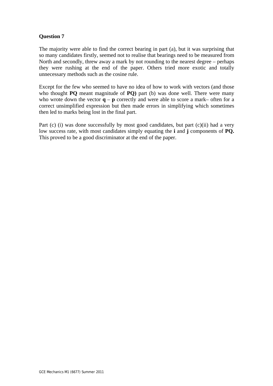### **Question 7**

The majority were able to find the correct bearing in part (a), but it was surprising that so many candidates firstly, seemed not to realise that bearings need to be measured from North and secondly, threw away a mark by not rounding to the nearest degree – perhaps they were rushing at the end of the paper. Others tried more exotic and totally unnecessary methods such as the cosine rule.

Except for the few who seemed to have no idea of how to work with vectors (and those who thought **PQ** meant magnitude of **PQ**) part (b) was done well. There were many who wrote down the vector  $\mathbf{q}$  –  $\mathbf{p}$  correctly and were able to score a mark– often for a correct unsimplified expression but then made errors in simplifying which sometimes then led to marks being lost in the final part.

Part (c) (i) was done successfully by most good candidates, but part (c)(ii) had a very low success rate, with most candidates simply equating the **i** and **j** components of **PQ.** This proved to be a good discriminator at the end of the paper.